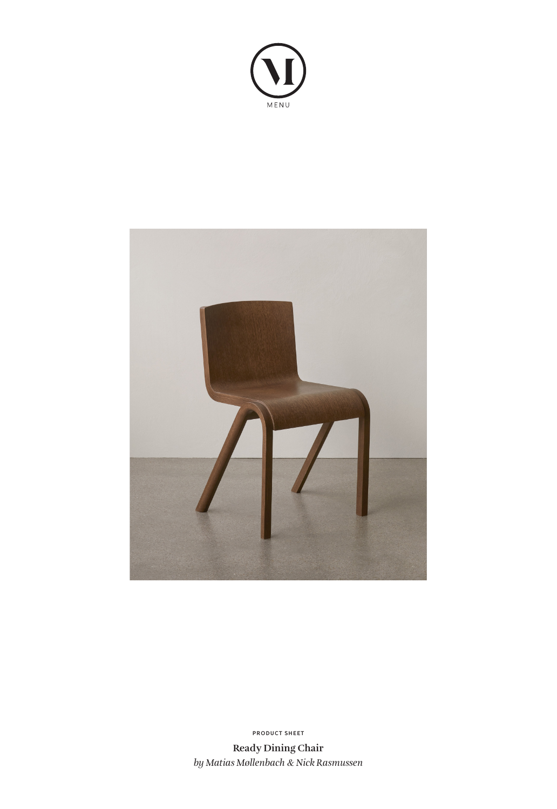



**PRODUCT SHEET**

**Ready Dining Chair** *by Matias Møllenbach & Nick Rasmussen*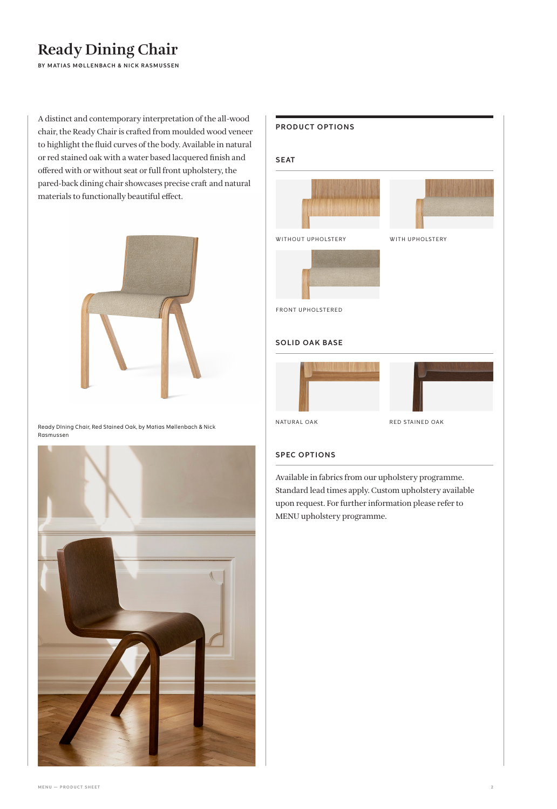# **Ready Dining Chair**

**BY MATIAS MØLLENBACH & NICK RASMUSSEN** 

A distinct and contemporary interpretation of the all-wood chair, the Ready Chair is crafted from moulded wood veneer to highlight the fluid curves of the body. Available in natural or red stained oak with a water based lacquered finish and offered with or without seat or full front upholstery, the pared-back dining chair showcases precise craft and natural materials to functionally beautiful effect.



Ready DIning Chair, Red Stained Oak, by Matias Møllenbach & Nick Rasmussen





### **SPEC OPTIONS**

Available in fabrics from our upholstery programme. Standard lead times apply. Custom upholstery available upon request. For further information please refer to MENU upholstery programme.